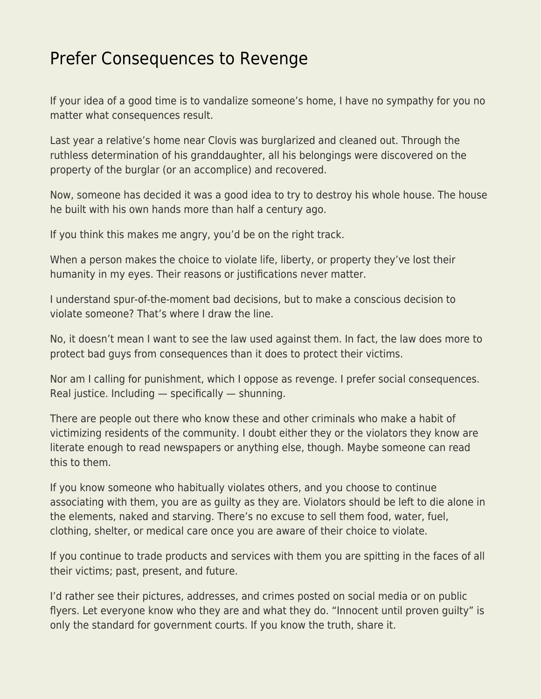## [Prefer Consequences to Revenge](https://everything-voluntary.com/prefer-consequences-to-revenge)

If your idea of a good time is to vandalize someone's home, I have no sympathy for you no matter what consequences result.

Last year a relative's home near Clovis was burglarized and cleaned out. Through the ruthless determination of his granddaughter, all his belongings were discovered on the property of the burglar (or an accomplice) and recovered.

Now, someone has decided it was a good idea to try to destroy his whole house. The house he built with his own hands more than half a century ago.

If you think this makes me angry, you'd be on the right track.

When a person makes the choice to violate life, liberty, or property they've lost their humanity in my eyes. Their reasons or justifications never matter.

I understand spur-of-the-moment bad decisions, but to make a conscious decision to violate someone? That's where I draw the line.

No, it doesn't mean I want to see the law used against them. In fact, the law does more to protect bad guys from consequences than it does to protect their victims.

Nor am I calling for punishment, which I oppose as revenge. I prefer social consequences. Real justice. Including — specifically — shunning.

There are people out there who know these and other criminals who make a habit of victimizing residents of the community. I doubt either they or the violators they know are literate enough to read newspapers or anything else, though. Maybe someone can read this to them.

If you know someone who habitually violates others, and you choose to continue associating with them, you are as guilty as they are. Violators should be left to die alone in the elements, naked and starving. There's no excuse to sell them food, water, fuel, clothing, shelter, or medical care once you are aware of their choice to violate.

If you continue to trade products and services with them you are spitting in the faces of all their victims; past, present, and future.

I'd rather see their pictures, addresses, and crimes posted on social media or on public flyers. Let everyone know who they are and what they do. "Innocent until proven guilty" is only the standard for government courts. If you know the truth, share it.